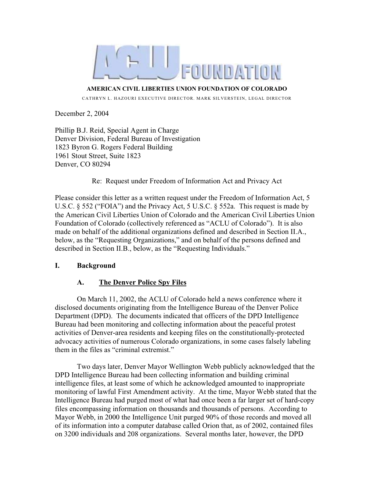

**AMERICAN CIVIL LIBERTIES UNION FOUNDATION OF COLORADO** 

CATHRYN L. HAZOURI EXECUTIVE DIRECTOR. MARK SILVERSTEIN, LEGAL DIRECTOR

December 2, 2004

Phillip B.J. Reid, Special Agent in Charge Denver Division, Federal Bureau of Investigation 1823 Byron G. Rogers Federal Building 1961 Stout Street, Suite 1823 Denver, CO 80294

### Re: Request under Freedom of Information Act and Privacy Act

Please consider this letter as a written request under the Freedom of Information Act, 5 U.S.C. § 552 ("FOIA") and the Privacy Act, 5 U.S.C. § 552a. This request is made by the American Civil Liberties Union of Colorado and the American Civil Liberties Union Foundation of Colorado (collectively referenced as "ACLU of Colorado"). It is also made on behalf of the additional organizations defined and described in Section II.A., below, as the "Requesting Organizations," and on behalf of the persons defined and described in Section II.B., below, as the "Requesting Individuals."

## **I. Background**

## **A. The Denver Police Spy Files**

On March 11, 2002, the ACLU of Colorado held a news conference where it disclosed documents originating from the Intelligence Bureau of the Denver Police Department (DPD). The documents indicated that officers of the DPD Intelligence Bureau had been monitoring and collecting information about the peaceful protest activities of Denver-area residents and keeping files on the constitutionally-protected advocacy activities of numerous Colorado organizations, in some cases falsely labeling them in the files as "criminal extremist."

Two days later, Denver Mayor Wellington Webb publicly acknowledged that the DPD Intelligence Bureau had been collecting information and building criminal intelligence files, at least some of which he acknowledged amounted to inappropriate monitoring of lawful First Amendment activity. At the time, Mayor Webb stated that the Intelligence Bureau had purged most of what had once been a far larger set of hard-copy files encompassing information on thousands and thousands of persons. According to Mayor Webb, in 2000 the Intelligence Unit purged 90% of those records and moved all of its information into a computer database called Orion that, as of 2002, contained files on 3200 individuals and 208 organizations. Several months later, however, the DPD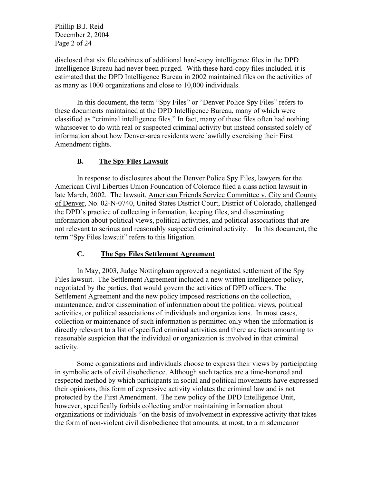Phillip B.J. Reid December 2, 2004 Page 2 of 24

disclosed that six file cabinets of additional hard-copy intelligence files in the DPD Intelligence Bureau had never been purged. With these hard-copy files included, it is estimated that the DPD Intelligence Bureau in 2002 maintained files on the activities of as many as 1000 organizations and close to 10,000 individuals.

In this document, the term "Spy Files" or "Denver Police Spy Files" refers to these documents maintained at the DPD Intelligence Bureau, many of which were classified as "criminal intelligence files." In fact, many of these files often had nothing whatsoever to do with real or suspected criminal activity but instead consisted solely of information about how Denver-area residents were lawfully exercising their First Amendment rights.

### **B. The Spy Files Lawsuit**

In response to disclosures about the Denver Police Spy Files, lawyers for the American Civil Liberties Union Foundation of Colorado filed a class action lawsuit in late March, 2002. The lawsuit, American Friends Service Committee v. City and County of Denver, No. 02-N-0740, United States District Court, District of Colorado, challenged the DPD's practice of collecting information, keeping files, and disseminating information about political views, political activities, and political associations that are not relevant to serious and reasonably suspected criminal activity. In this document, the term "Spy Files lawsuit" refers to this litigation.

## **C. The Spy Files Settlement Agreement**

In May, 2003, Judge Nottingham approved a negotiated settlement of the Spy Files lawsuit. The Settlement Agreement included a new written intelligence policy, negotiated by the parties, that would govern the activities of DPD officers. The Settlement Agreement and the new policy imposed restrictions on the collection, maintenance, and/or dissemination of information about the political views, political activities, or political associations of individuals and organizations. In most cases, collection or maintenance of such information is permitted only when the information is directly relevant to a list of specified criminal activities and there are facts amounting to reasonable suspicion that the individual or organization is involved in that criminal activity.

Some organizations and individuals choose to express their views by participating in symbolic acts of civil disobedience. Although such tactics are a time-honored and respected method by which participants in social and political movements have expressed their opinions, this form of expressive activity violates the criminal law and is not protected by the First Amendment. The new policy of the DPD Intelligence Unit, however, specifically forbids collecting and/or maintaining information about organizations or individuals "on the basis of involvement in expressive activity that takes the form of non-violent civil disobedience that amounts, at most, to a misdemeanor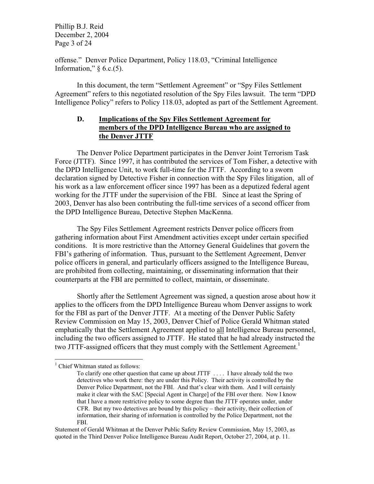Phillip B.J. Reid December 2, 2004 Page 3 of 24

offense." Denver Police Department, Policy 118.03, "Criminal Intelligence Information,"  $\S$  6.c.(5).

In this document, the term "Settlement Agreement" or "Spy Files Settlement Agreement" refers to this negotiated resolution of the Spy Files lawsuit. The term "DPD Intelligence Policy" refers to Policy 118.03, adopted as part of the Settlement Agreement.

### **D. Implications of the Spy Files Settlement Agreement for members of the DPD Intelligence Bureau who are assigned to the Denver JTTF**

The Denver Police Department participates in the Denver Joint Terrorism Task Force (JTTF). Since 1997, it has contributed the services of Tom Fisher, a detective with the DPD Intelligence Unit, to work full-time for the JTTF. According to a sworn declaration signed by Detective Fisher in connection with the Spy Files litigation, all of his work as a law enforcement officer since 1997 has been as a deputized federal agent working for the JTTF under the supervision of the FBI. Since at least the Spring of 2003, Denver has also been contributing the full-time services of a second officer from the DPD Intelligence Bureau, Detective Stephen MacKenna.

The Spy Files Settlement Agreement restricts Denver police officers from gathering information about First Amendment activities except under certain specified conditions. It is more restrictive than the Attorney General Guidelines that govern the FBI's gathering of information. Thus, pursuant to the Settlement Agreement, Denver police officers in general, and particularly officers assigned to the Intelligence Bureau, are prohibited from collecting, maintaining, or disseminating information that their counterparts at the FBI are permitted to collect, maintain, or disseminate.

Shortly after the Settlement Agreement was signed, a question arose about how it applies to the officers from the DPD Intelligence Bureau whom Denver assigns to work for the FBI as part of the Denver JTTF. At a meeting of the Denver Public Safety Review Commission on May 15, 2003, Denver Chief of Police Gerald Whitman stated emphatically that the Settlement Agreement applied to all Intelligence Bureau personnel, including the two officers assigned to JTTF. He stated that he had already instructed the two JTTF-assigned officers that they must comply with the Settlement Agreement.<sup>1</sup>

<sup>&</sup>lt;sup>1</sup> Chief Whitman stated as follows:

To clarify one other question that came up about JTTF . . . . I have already told the two detectives who work there: they are under this Policy. Their activity is controlled by the Denver Police Department, not the FBI. And that's clear with them. And I will certainly make it clear with the SAC [Special Agent in Charge] of the FBI over there. Now I know that I have a more restrictive policy to some degree than the JTTF operates under, under CFR. But my two detectives are bound by this policy – their activity, their collection of information, their sharing of information is controlled by the Police Department, not the FBI.

Statement of Gerald Whitman at the Denver Public Safety Review Commission, May 15, 2003, as quoted in the Third Denver Police Intelligence Bureau Audit Report, October 27, 2004, at p. 11.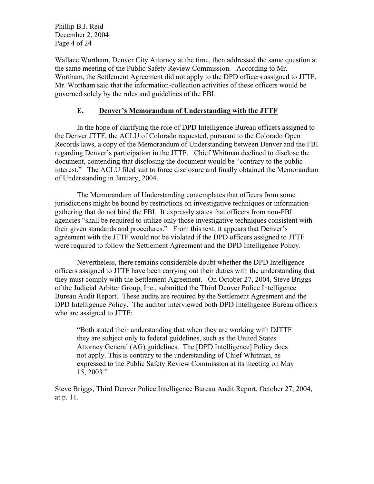Phillip B.J. Reid December 2, 2004 Page 4 of 24

Wallace Wortham, Denver City Attorney at the time, then addressed the same question at the same meeting of the Public Safety Review Commission. According to Mr. Wortham, the Settlement Agreement did not apply to the DPD officers assigned to JTTF. Mr. Wortham said that the information-collection activities of these officers would be governed solely by the rules and guidelines of the FBI.

### **E. Denver's Memorandum of Understanding with the JTTF**

In the hope of clarifying the role of DPD Intelligence Bureau officers assigned to the Denver JTTF, the ACLU of Colorado requested, pursuant to the Colorado Open Records laws, a copy of the Memorandum of Understanding between Denver and the FBI regarding Denver's participation in the JTTF. Chief Whitman declined to disclose the document, contending that disclosing the document would be "contrary to the public interest." The ACLU filed suit to force disclosure and finally obtained the Memorandum of Understanding in January, 2004.

The Memorandum of Understanding contemplates that officers from some jurisdictions might be bound by restrictions on investigative techniques or informationgathering that do not bind the FBI. It expressly states that officers from non-FBI agencies "shall be required to utilize only those investigative techniques consistent with their given standards and procedures." From this text, it appears that Denver's agreement with the JTTF would not be violated if the DPD officers assigned to JTTF were required to follow the Settlement Agreement and the DPD Intelligence Policy.

Nevertheless, there remains considerable doubt whether the DPD Intelligence officers assigned to JTTF have been carrying out their duties with the understanding that they must comply with the Settlement Agreement. On October 27, 2004, Steve Briggs of the Judicial Arbiter Group, Inc., submitted the Third Denver Police Intelligence Bureau Audit Report. These audits are required by the Settlement Agreement and the DPD Intelligence Policy. The auditor interviewed both DPD Intelligence Bureau officers who are assigned to JTTF:

"Both stated their understanding that when they are working with DJTTF they are subject only to federal guidelines, such as the United States Attorney General (AG) guidelines. The [DPD Intelligence] Policy does not apply. This is contrary to the understanding of Chief Whitman, as expressed to the Public Safety Review Commission at its meeting on May 15, 2003."

Steve Briggs, Third Denver Police Intelligence Bureau Audit Report, October 27, 2004, at p. 11.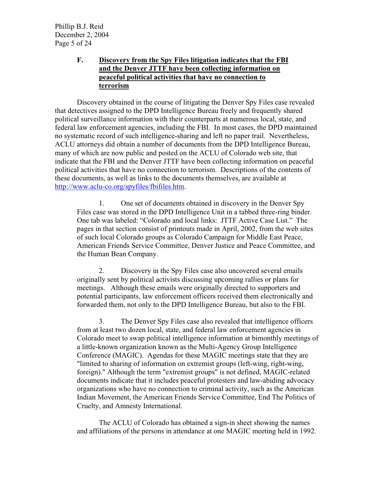Phillip B.J. Reid December 2, 2004 Page 5 of 24

## **F. Discovery from the Spy Files litigation indicates that the FBI and the Denver JTTF have been collecting information on peaceful political activities that have no connection to terrorism**

Discovery obtained in the course of litigating the Denver Spy Files case revealed that detectives assigned to the DPD Intelligence Bureau freely and frequently shared political surveillance information with their counterparts at numerous local, state, and federal law enforcement agencies, including the FBI. In most cases, the DPD maintained no systematic record of such intelligence-sharing and left no paper trail. Nevertheless, ACLU attorneys did obtain a number of documents from the DPD Intelligence Bureau, many of which are now public and posted on the ACLU of Colorado web site, that indicate that the FBI and the Denver JTTF have been collecting information on peaceful political activities that have no connection to terrorism. Descriptions of the contents of these documents, as well as links to the documents themselves, are available at http://www.aclu-co.org/spyfiles/fbifiles.htm.

1. One set of documents obtained in discovery in the Denver Spy Files case was stored in the DPD Intelligence Unit in a tabbed three-ring binder. One tab was labeled: "Colorado and local links: JTTF Active Case List." The pages in that section consist of printouts made in April, 2002, from the web sites of such local Colorado groups as Colorado Campaign for Middle East Peace, American Friends Service Committee, Denver Justice and Peace Committee, and the Human Bean Company.

2. Discovery in the Spy Files case also uncovered several emails originally sent by political activists discussing upcoming rallies or plans for meetings. Although these emails were originally directed to supporters and potential participants, law enforcement officers received them electronically and forwarded them, not only to the DPD Intelligence Bureau, but also to the FBI.

3. The Denver Spy Files case also revealed that intelligence officers from at least two dozen local, state, and federal law enforcement agencies in Colorado meet to swap political intelligence information at bimonthly meetings of a little-known organization known as the Multi-Agency Group Intelligence Conference (MAGIC). Agendas for these MAGIC meetings state that they are "limited to sharing of information on extremist groups (left-wing, right-wing, foreign)." Although the term "extremist groups" is not defined, MAGIC-related documents indicate that it includes peaceful protesters and law-abiding advocacy organizations who have no connection to criminal activity, such as the American Indian Movement, the American Friends Service Committee, End The Politics of Cruelty, and Amnesty International.

The ACLU of Colorado has obtained a sign-in sheet showing the names and affiliations of the persons in attendance at one MAGIC meeting held in 1992.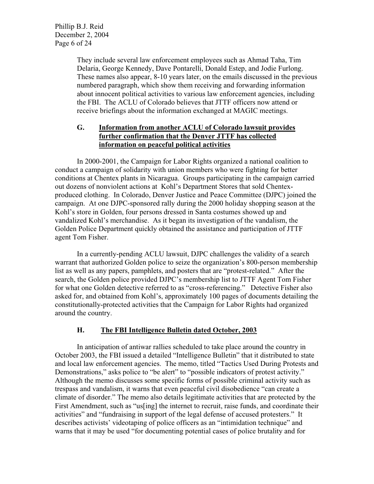Phillip B.J. Reid December 2, 2004 Page 6 of 24

> They include several law enforcement employees such as Ahmad Taha, Tim Delaria, George Kennedy, Dave Pontarelli, Donald Estep, and Jodie Furlong. These names also appear, 8-10 years later, on the emails discussed in the previous numbered paragraph, which show them receiving and forwarding information about innocent political activities to various law enforcement agencies, including the FBI. The ACLU of Colorado believes that JTTF officers now attend or receive briefings about the information exchanged at MAGIC meetings.

### **G. Information from another ACLU of Colorado lawsuit provides further confirmation that the Denver JTTF has collected information on peaceful political activities**

In 2000-2001, the Campaign for Labor Rights organized a national coalition to conduct a campaign of solidarity with union members who were fighting for better conditions at Chentex plants in Nicaragua. Groups participating in the campaign carried out dozens of nonviolent actions at Kohl's Department Stores that sold Chentexproduced clothing. In Colorado, Denver Justice and Peace Committee (DJPC) joined the campaign. At one DJPC-sponsored rally during the 2000 holiday shopping season at the Kohl's store in Golden, four persons dressed in Santa costumes showed up and vandalized Kohl's merchandise. As it began its investigation of the vandalism, the Golden Police Department quickly obtained the assistance and participation of JTTF agent Tom Fisher.

In a currently-pending ACLU lawsuit, DJPC challenges the validity of a search warrant that authorized Golden police to seize the organization's 800-person membership list as well as any papers, pamphlets, and posters that are "protest-related." After the search, the Golden police provided DJPC's membership list to JTTF Agent Tom Fisher for what one Golden detective referred to as "cross-referencing." Detective Fisher also asked for, and obtained from Kohl's, approximately 100 pages of documents detailing the constitutionally-protected activities that the Campaign for Labor Rights had organized around the country.

## **H. The FBI Intelligence Bulletin dated October, 2003**

In anticipation of antiwar rallies scheduled to take place around the country in October 2003, the FBI issued a detailed "Intelligence Bulletin" that it distributed to state and local law enforcement agencies. The memo, titled "Tactics Used During Protests and Demonstrations," asks police to "be alert" to "possible indicators of protest activity." Although the memo discusses some specific forms of possible criminal activity such as trespass and vandalism, it warns that even peaceful civil disobedience "can create a climate of disorder." The memo also details legitimate activities that are protected by the First Amendment, such as "us[ing] the internet to recruit, raise funds, and coordinate their activities" and "fundraising in support of the legal defense of accused protesters." It describes activists' videotaping of police officers as an "intimidation technique" and warns that it may be used "for documenting potential cases of police brutality and for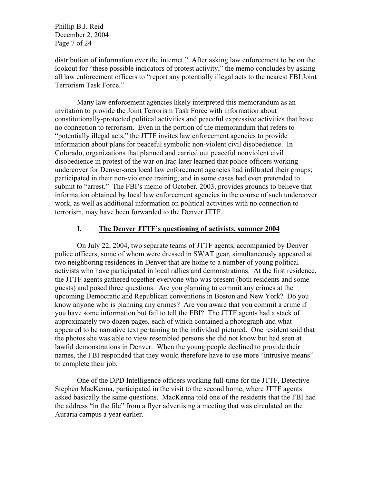Phillip B.J. Reid December 2, 2004 Page 7 of 24

distribution of information over the internet." After asking law enforcement to be on the lookout for "these possible indicators of protest activity," the memo concludes by asking all law enforcement officers to "report any potentially illegal acts to the nearest FBI Joint Terrorism Task Force."

Many law enforcement agencies likely interpreted this memorandum as an invitation to provide the Joint Terrorism Task Force with information about constitutionally-protected political activities and peaceful expressive activities that have no connection to terrorism. Even in the portion of the memorandum that refers to "potentially illegal acts," the JTTF invites law enforcement agencies to provide information about plans for peaceful symbolic non-violent civil disobedience. In Colorado, organizations that planned and carried out peaceful nonviolent civil disobedience in protest of the war on Iraq later learned that police officers working undercover for Denver-area local law enforcement agencies had infiltrated their groups; participated in their non-violence training; and in some cases had even pretended to submit to "arrest." The FBI's memo of October, 2003, provides grounds to believe that information obtained by local law enforcement agencies in the course of such undercover work, as well as additional information on political activities with no connection to terrorism, may have been forwarded to the Denver JTTF.

#### **I. The Denver JTTF's questioning of activists, summer 2004**

On July 22, 2004, two separate teams of JTTF agents, accompanied by Denver police officers, some of whom were dressed in SWAT gear, simultaneously appeared at two neighboring residences in Denver that are home to a number of young political activists who have participated in local rallies and demonstrations. At the first residence, the JTTF agents gathered together everyone who was present (both residents and some guests) and posed three questions. Are you planning to commit any crimes at the upcoming Democratic and Republican conventions in Boston and New York? Do you know anyone who is planning any crimes? Are you aware that you commit a crime if you have some information but fail to tell the FBI? The JTTF agents had a stack of approximately two dozen pages, each of which contained a photograph and what appeared to be narrative text pertaining to the individual pictured. One resident said that the photos she was able to view resembled persons she did not know but had seen at lawful demonstrations in Denver. When the young people declined to provide their names, the FBI responded that they would therefore have to use more "intrusive means" to complete their job.

One of the DPD Intelligence officers working full-time for the JTTF, Detective Stephen MacKenna, participated in the visit to the second home, where JTTF agents asked basically the same questions. MacKenna told one of the residents that the FBI had the address "in the file" from a flyer advertising a meeting that was circulated on the Auraria campus a year earlier.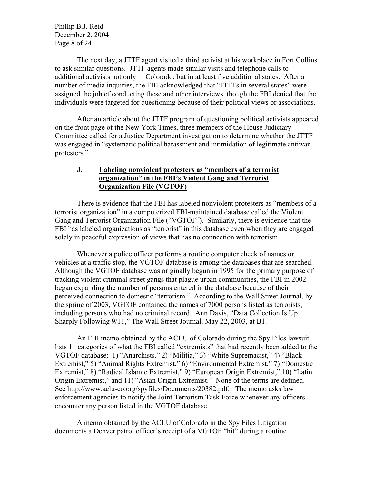Phillip B.J. Reid December 2, 2004 Page 8 of 24

The next day, a JTTF agent visited a third activist at his workplace in Fort Collins to ask similar questions. JTTF agents made similar visits and telephone calls to additional activists not only in Colorado, but in at least five additional states. After a number of media inquiries, the FBI acknowledged that "JTTFs in several states" were assigned the job of conducting these and other interviews, though the FBI denied that the individuals were targeted for questioning because of their political views or associations.

After an article about the JTTF program of questioning political activists appeared on the front page of the New York Times, three members of the House Judiciary Committee called for a Justice Department investigation to determine whether the JTTF was engaged in "systematic political harassment and intimidation of legitimate antiwar protesters."

### **J. Labeling nonviolent protesters as "members of a terrorist organization" in the FBI's Violent Gang and Terrorist Organization File (VGTOF)**

There is evidence that the FBI has labeled nonviolent protesters as "members of a terrorist organization" in a computerized FBI-maintained database called the Violent Gang and Terrorist Organization File ("VGTOF"). Similarly, there is evidence that the FBI has labeled organizations as "terrorist" in this database even when they are engaged solely in peaceful expression of views that has no connection with terrorism.

Whenever a police officer performs a routine computer check of names or vehicles at a traffic stop, the VGTOF database is among the databases that are searched. Although the VGTOF database was originally begun in 1995 for the primary purpose of tracking violent criminal street gangs that plague urban communities, the FBI in 2002 began expanding the number of persons entered in the database because of their perceived connection to domestic "terrorism." According to the Wall Street Journal, by the spring of 2003, VGTOF contained the names of 7000 persons listed as terrorists, including persons who had no criminal record. Ann Davis, "Data Collection Is Up Sharply Following 9/11," The Wall Street Journal, May 22, 2003, at B1.

An FBI memo obtained by the ACLU of Colorado during the Spy Files lawsuit lists 11 categories of what the FBI called "extremists" that had recently been added to the VGTOF database: 1) "Anarchists," 2) "Militia," 3) "White Supremacist," 4) "Black Extremist," 5) "Animal Rights Extremist," 6) "Environmental Extremist," 7) "Domestic Extremist," 8) "Radical Islamic Extremist," 9) "European Origin Extremist," 10) "Latin Origin Extremist," and 11) "Asian Origin Extremist." None of the terms are defined. See http://www.aclu-co.org/spyfiles/Documents/20382.pdf. The memo asks law enforcement agencies to notify the Joint Terrorism Task Force whenever any officers encounter any person listed in the VGTOF database.

A memo obtained by the ACLU of Colorado in the Spy Files Litigation documents a Denver patrol officer's receipt of a VGTOF "hit" during a routine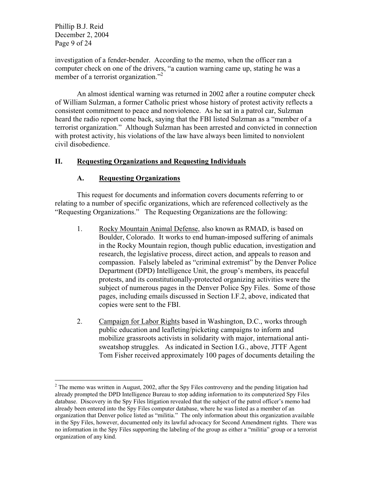Phillip B.J. Reid December 2, 2004 Page 9 of 24

investigation of a fender-bender. According to the memo, when the officer ran a computer check on one of the drivers, "a caution warning came up, stating he was a member of a terrorist organization."<sup>2</sup>

An almost identical warning was returned in 2002 after a routine computer check of William Sulzman, a former Catholic priest whose history of protest activity reflects a consistent commitment to peace and nonviolence. As he sat in a patrol car, Sulzman heard the radio report come back, saying that the FBI listed Sulzman as a "member of a terrorist organization." Although Sulzman has been arrested and convicted in connection with protest activity, his violations of the law have always been limited to nonviolent civil disobedience.

# **II. Requesting Organizations and Requesting Individuals**

## **A. Requesting Organizations**

This request for documents and information covers documents referring to or relating to a number of specific organizations, which are referenced collectively as the "Requesting Organizations." The Requesting Organizations are the following:

- 1. Rocky Mountain Animal Defense, also known as RMAD, is based on Boulder, Colorado. It works to end human-imposed suffering of animals in the Rocky Mountain region, though public education, investigation and research, the legislative process, direct action, and appeals to reason and compassion. Falsely labeled as "criminal extremist" by the Denver Police Department (DPD) Intelligence Unit, the group's members, its peaceful protests, and its constitutionally-protected organizing activities were the subject of numerous pages in the Denver Police Spy Files. Some of those pages, including emails discussed in Section I.F.2, above, indicated that copies were sent to the FBI.
- 2. Campaign for Labor Rights based in Washington, D.C., works through public education and leafleting/picketing campaigns to inform and mobilize grassroots activists in solidarity with major, international antisweatshop struggles. As indicated in Section I.G., above, JTTF Agent Tom Fisher received approximately 100 pages of documents detailing the

 $2^2$  The memo was written in August, 2002, after the Spy Files controversy and the pending litigation had already prompted the DPD Intelligence Bureau to stop adding information to its computerized Spy Files database. Discovery in the Spy Files litigation revealed that the subject of the patrol officer's memo had already been entered into the Spy Files computer database, where he was listed as a member of an organization that Denver police listed as "militia." The only information about this organization available in the Spy Files, however, documented only its lawful advocacy for Second Amendment rights. There was no information in the Spy Files supporting the labeling of the group as either a "militia" group or a terrorist organization of any kind.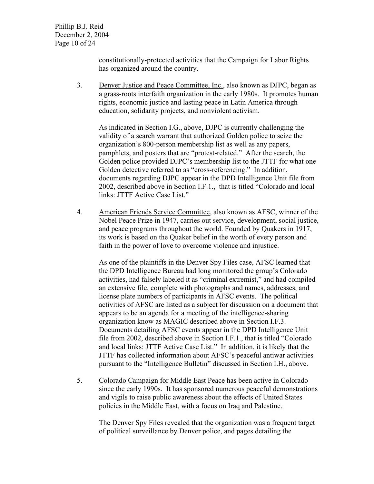Phillip B.J. Reid December 2, 2004 Page 10 of 24

> constitutionally-protected activities that the Campaign for Labor Rights has organized around the country.

3. Denver Justice and Peace Committee, Inc., also known as DJPC, began as a grass-roots interfaith organization in the early 1980s. It promotes human rights, economic justice and lasting peace in Latin America through education, solidarity projects, and nonviolent activism.

As indicated in Section I.G., above, DJPC is currently challenging the validity of a search warrant that authorized Golden police to seize the organization's 800-person membership list as well as any papers, pamphlets, and posters that are "protest-related." After the search, the Golden police provided DJPC's membership list to the JTTF for what one Golden detective referred to as "cross-referencing." In addition, documents regarding DJPC appear in the DPD Intelligence Unit file from 2002, described above in Section I.F.1., that is titled "Colorado and local links: JTTF Active Case List."

4. American Friends Service Committee, also known as AFSC, winner of the Nobel Peace Prize in 1947, carries out service, development, social justice, and peace programs throughout the world. Founded by Quakers in 1917, its work is based on the Quaker belief in the worth of every person and faith in the power of love to overcome violence and injustice.

As one of the plaintiffs in the Denver Spy Files case, AFSC learned that the DPD Intelligence Bureau had long monitored the group's Colorado activities, had falsely labeled it as "criminal extremist," and had compiled an extensive file, complete with photographs and names, addresses, and license plate numbers of participants in AFSC events. The political activities of AFSC are listed as a subject for discussion on a document that appears to be an agenda for a meeting of the intelligence-sharing organization know as MAGIC described above in Section I.F.3. Documents detailing AFSC events appear in the DPD Intelligence Unit file from 2002, described above in Section I.F.1., that is titled "Colorado and local links: JTTF Active Case List." In addition, it is likely that the JTTF has collected information about AFSC's peaceful antiwar activities pursuant to the "Intelligence Bulletin" discussed in Section I.H., above.

5. Colorado Campaign for Middle East Peace has been active in Colorado since the early 1990s. It has sponsored numerous peaceful demonstrations and vigils to raise public awareness about the effects of United States policies in the Middle East, with a focus on Iraq and Palestine.

The Denver Spy Files revealed that the organization was a frequent target of political surveillance by Denver police, and pages detailing the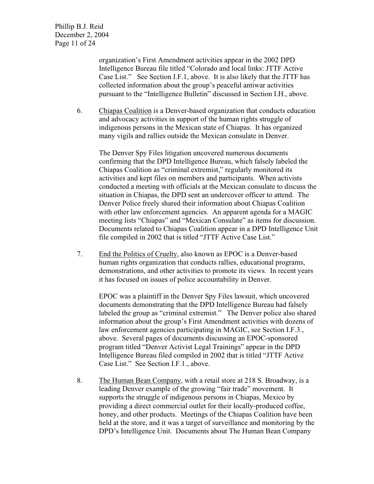Phillip B.J. Reid December 2, 2004 Page 11 of 24

> organization's First Amendment activities appear in the 2002 DPD Intelligence Bureau file titled "Colorado and local links: JTTF Active Case List." See Section I.F.1, above. It is also likely that the JTTF has collected information about the group's peaceful antiwar activities pursuant to the "Intelligence Bulletin" discussed in Section I.H., above.

6. Chiapas Coalition is a Denver-based organization that conducts education and advocacy activities in support of the human rights struggle of indigenous persons in the Mexican state of Chiapas. It has organized many vigils and rallies outside the Mexican consulate in Denver.

The Denver Spy Files litigation uncovered numerous documents confirming that the DPD Intelligence Bureau, which falsely labeled the Chiapas Coalition as "criminal extremist," regularly monitored its activities and kept files on members and participants. When activists conducted a meeting with officials at the Mexican consulate to discuss the situation in Chiapas, the DPD sent an undercover officer to attend. The Denver Police freely shared their information about Chiapas Coalition with other law enforcement agencies. An apparent agenda for a MAGIC meeting lists "Chiapas" and "Mexican Consulate" as items for discussion. Documents related to Chiapas Coalition appear in a DPD Intelligence Unit file compiled in 2002 that is titled "JTTF Active Case List."

7. End the Politics of Cruelty, also known as EPOC is a Denver-based human rights organization that conducts rallies, educational programs, demonstrations, and other activities to promote its views. In recent years it has focused on issues of police accountability in Denver.

EPOC was a plaintiff in the Denver Spy Files lawsuit, which uncovered documents demonstrating that the DPD Intelligence Bureau had falsely labeled the group as "criminal extremist." The Denver police also shared information about the group's First Amendment activities with dozens of law enforcement agencies participating in MAGIC, see Section I.F.3., above. Several pages of documents discussing an EPOC-sponsored program titled "Denver Activist Legal Trainings" appear in the DPD Intelligence Bureau filed compiled in 2002 that is titled "JTTF Active Case List." See Section I.F.1., above.

8. The Human Bean Company, with a retail store at 218 S. Broadway, is a leading Denver example of the growing "fair trade" movement. It supports the struggle of indigenous persons in Chiapas, Mexico by providing a direct commercial outlet for their locally-produced coffee, honey, and other products. Meetings of the Chiapas Coalition have been held at the store, and it was a target of surveillance and monitoring by the DPD's Intelligence Unit. Documents about The Human Bean Company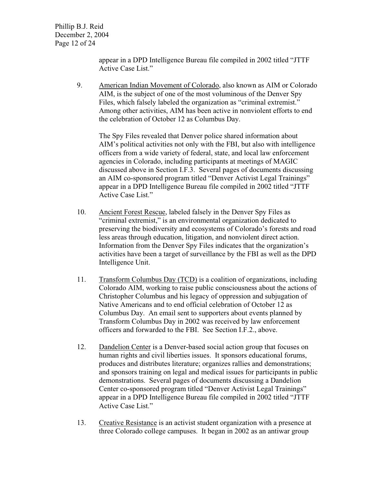Phillip B.J. Reid December 2, 2004 Page 12 of 24

> appear in a DPD Intelligence Bureau file compiled in 2002 titled "JTTF Active Case List."

9. American Indian Movement of Colorado, also known as AIM or Colorado AIM, is the subject of one of the most voluminous of the Denver Spy Files, which falsely labeled the organization as "criminal extremist." Among other activities, AIM has been active in nonviolent efforts to end the celebration of October 12 as Columbus Day.

The Spy Files revealed that Denver police shared information about AIM's political activities not only with the FBI, but also with intelligence officers from a wide variety of federal, state, and local law enforcement agencies in Colorado, including participants at meetings of MAGIC discussed above in Section I.F.3. Several pages of documents discussing an AIM co-sponsored program titled "Denver Activist Legal Trainings" appear in a DPD Intelligence Bureau file compiled in 2002 titled "JTTF Active Case List."

- 10. Ancient Forest Rescue, labeled falsely in the Denver Spy Files as "criminal extremist," is an environmental organization dedicated to preserving the biodiversity and ecosystems of Colorado's forests and road less areas through education, litigation, and nonviolent direct action. Information from the Denver Spy Files indicates that the organization's activities have been a target of surveillance by the FBI as well as the DPD Intelligence Unit.
- 11. Transform Columbus Day (TCD) is a coalition of organizations, including Colorado AIM, working to raise public consciousness about the actions of Christopher Columbus and his legacy of oppression and subjugation of Native Americans and to end official celebration of October 12 as Columbus Day. An email sent to supporters about events planned by Transform Columbus Day in 2002 was received by law enforcement officers and forwarded to the FBI. See Section I.F.2., above.
- 12. Dandelion Center is a Denver-based social action group that focuses on human rights and civil liberties issues. It sponsors educational forums, produces and distributes literature; organizes rallies and demonstrations; and sponsors training on legal and medical issues for participants in public demonstrations. Several pages of documents discussing a Dandelion Center co-sponsored program titled "Denver Activist Legal Trainings" appear in a DPD Intelligence Bureau file compiled in 2002 titled "JTTF Active Case List."
- 13. Creative Resistance is an activist student organization with a presence at three Colorado college campuses. It began in 2002 as an antiwar group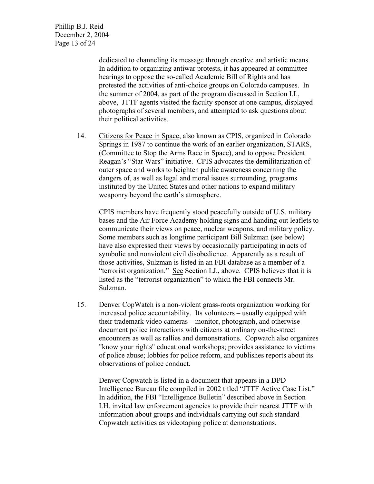Phillip B.J. Reid December 2, 2004 Page 13 of 24

> dedicated to channeling its message through creative and artistic means. In addition to organizing antiwar protests, it has appeared at committee hearings to oppose the so-called Academic Bill of Rights and has protested the activities of anti-choice groups on Colorado campuses. In the summer of 2004, as part of the program discussed in Section I.I., above, JTTF agents visited the faculty sponsor at one campus, displayed photographs of several members, and attempted to ask questions about their political activities.

14. Citizens for Peace in Space, also known as CPIS, organized in Colorado Springs in 1987 to continue the work of an earlier organization, STARS, (Committee to Stop the Arms Race in Space), and to oppose President Reagan's "Star Wars" initiative. CPIS advocates the demilitarization of outer space and works to heighten public awareness concerning the dangers of, as well as legal and moral issues surrounding, programs instituted by the United States and other nations to expand military weaponry beyond the earth's atmosphere.

CPIS members have frequently stood peacefully outside of U.S. military bases and the Air Force Academy holding signs and handing out leaflets to communicate their views on peace, nuclear weapons, and military policy. Some members such as longtime participant Bill Sulzman (see below) have also expressed their views by occasionally participating in acts of symbolic and nonviolent civil disobedience. Apparently as a result of those activities, Sulzman is listed in an FBI database as a member of a "terrorist organization." See Section I.J., above. CPIS believes that it is listed as the "terrorist organization" to which the FBI connects Mr. Sulzman.

15. Denver CopWatch is a non-violent grass-roots organization working for increased police accountability. Its volunteers – usually equipped with their trademark video cameras – monitor, photograph, and otherwise document police interactions with citizens at ordinary on-the-street encounters as well as rallies and demonstrations. Copwatch also organizes "know your rights" educational workshops; provides assistance to victims of police abuse; lobbies for police reform, and publishes reports about its observations of police conduct.

Denver Copwatch is listed in a document that appears in a DPD Intelligence Bureau file compiled in 2002 titled "JTTF Active Case List." In addition, the FBI "Intelligence Bulletin" described above in Section I.H. invited law enforcement agencies to provide their nearest JTTF with information about groups and individuals carrying out such standard Copwatch activities as videotaping police at demonstrations.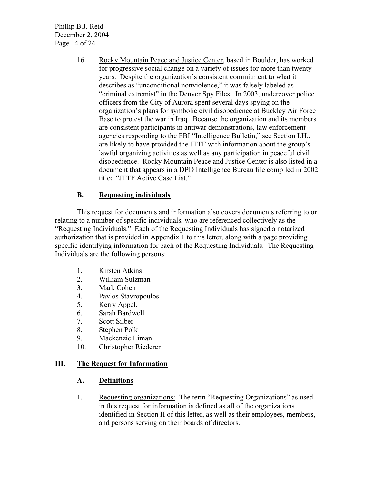Phillip B.J. Reid December 2, 2004 Page 14 of 24

> 16. Rocky Mountain Peace and Justice Center, based in Boulder, has worked for progressive social change on a variety of issues for more than twenty years. Despite the organization's consistent commitment to what it describes as "unconditional nonviolence," it was falsely labeled as "criminal extremist" in the Denver Spy Files. In 2003, undercover police officers from the City of Aurora spent several days spying on the organization's plans for symbolic civil disobedience at Buckley Air Force Base to protest the war in Iraq. Because the organization and its members are consistent participants in antiwar demonstrations, law enforcement agencies responding to the FBI "Intelligence Bulletin," see Section I.H., are likely to have provided the JTTF with information about the group's lawful organizing activities as well as any participation in peaceful civil disobedience. Rocky Mountain Peace and Justice Center is also listed in a document that appears in a DPD Intelligence Bureau file compiled in 2002 titled "JTTF Active Case List."

# **B. Requesting individuals**

This request for documents and information also covers documents referring to or relating to a number of specific individuals, who are referenced collectively as the "Requesting Individuals." Each of the Requesting Individuals has signed a notarized authorization that is provided in Appendix 1 to this letter, along with a page providing specific identifying information for each of the Requesting Individuals. The Requesting Individuals are the following persons:

- 1. Kirsten Atkins
- 2. William Sulzman
- 3. Mark Cohen
- 4. Pavlos Stavropoulos
- 5. Kerry Appel,
- 6. Sarah Bardwell
- 7. Scott Silber
- 8. Stephen Polk
- 9. Mackenzie Liman
- 10. Christopher Riederer

## **III. The Request for Information**

## **A. Definitions**

1. Requesting organizations: The term "Requesting Organizations" as used in this request for information is defined as all of the organizations identified in Section II of this letter, as well as their employees, members, and persons serving on their boards of directors.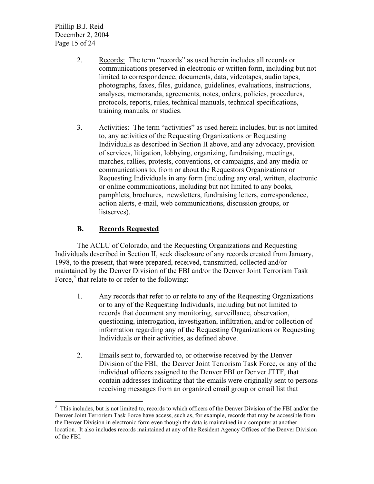Phillip B.J. Reid December 2, 2004 Page 15 of 24

- 2. Records: The term "records" as used herein includes all records or communications preserved in electronic or written form, including but not limited to correspondence, documents, data, videotapes, audio tapes, photographs, faxes, files, guidance, guidelines, evaluations, instructions, analyses, memoranda, agreements, notes, orders, policies, procedures, protocols, reports, rules, technical manuals, technical specifications, training manuals, or studies.
- 3. Activities: The term "activities" as used herein includes, but is not limited to, any activities of the Requesting Organizations or Requesting Individuals as described in Section II above, and any advocacy, provision of services, litigation, lobbying, organizing, fundraising, meetings, marches, rallies, protests, conventions, or campaigns, and any media or communications to, from or about the Requestors Organizations or Requesting Individuals in any form (including any oral, written, electronic or online communications, including but not limited to any books, pamphlets, brochures, newsletters, fundraising letters, correspondence, action alerts, e-mail, web communications, discussion groups, or listserves).

# **B. Records Requested**

The ACLU of Colorado, and the Requesting Organizations and Requesting Individuals described in Section II, seek disclosure of any records created from January, 1998, to the present, that were prepared, received, transmitted, collected and/or maintained by the Denver Division of the FBI and/or the Denver Joint Terrorism Task Force, $3$  that relate to or refer to the following:

- 1. Any records that refer to or relate to any of the Requesting Organizations or to any of the Requesting Individuals, including but not limited to records that document any monitoring, surveillance, observation, questioning, interrogation, investigation, infiltration, and/or collection of information regarding any of the Requesting Organizations or Requesting Individuals or their activities, as defined above.
- 2. Emails sent to, forwarded to, or otherwise received by the Denver Division of the FBI, the Denver Joint Terrorism Task Force, or any of the individual officers assigned to the Denver FBI or Denver JTTF, that contain addresses indicating that the emails were originally sent to persons receiving messages from an organized email group or email list that

<sup>&</sup>lt;sup>3</sup> This includes, but is not limited to, records to which officers of the Denver Division of the FBI and/or the Denver Joint Terrorism Task Force have access, such as, for example, records that may be accessible from the Denver Division in electronic form even though the data is maintained in a computer at another location. It also includes records maintained at any of the Resident Agency Offices of the Denver Division of the FBI.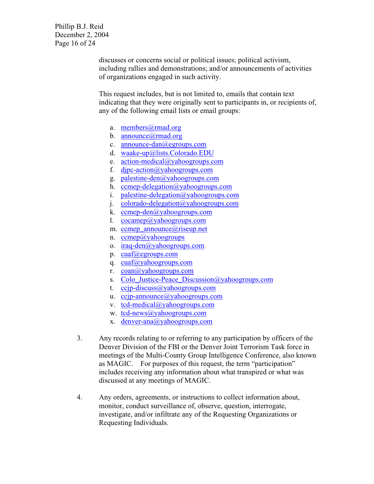Phillip B.J. Reid December 2, 2004 Page 16 of 24

> discusses or concerns social or political issues; political activism, including rallies and demonstrations; and/or announcements of activities of organizations engaged in such activity.

This request includes, but is not limited to, emails that contain text indicating that they were originally sent to participants in, or recipients of, any of the following email lists or email groups:

- a. members@rmad.org
- b. announce@rmad.org
- c. announce-dan@egroups.com
- d. waake-up@lists.Colorado.EDU
- e. action-medical@yahoogroups.com
- f. djpc-action@yahoogroups.com
- g. palestine-den@yahoogroups.com
- h. ccmep-delegation@yahoogroups.com
- i. palestine-delegation@yahoogroups.com
- j. colorado-delegation@yahoogroups.com
- k. ccmep-den@yahoogroups.com
- l. cocamep@yahoogroups.com
- m. ccmep\_announce@riseup.net
- n. ccmep@yahoogroups
- o. iraq-den@yahoogroups.com
- p. cuaf@egroups.com
- q. cuaf@yahoogroups.com
- r. coan@yahoogroups.com
- s. Colo\_Justice-Peace\_Discussion@yahoogroups.com
- t. ccjp-discuss@yahoogroups.com
- u. ccjp-announce@yahoogroups.com
- v. tcd-medical@yahoogroups.com
- w. tcd-news@yahoogroups.com
- x. denver-ana@yahoogroups.com
- 3. Any records relating to or referring to any participation by officers of the Denver Division of the FBI or the Denver Joint Terrorism Task force in meetings of the Multi-County Group Intelligence Conference, also known as MAGIC. For purposes of this request, the term "participation" includes receiving any information about what transpired or what was discussed at any meetings of MAGIC.
- 4. Any orders, agreements, or instructions to collect information about, monitor, conduct surveillance of, observe, question, interrogate, investigate, and/or infiltrate any of the Requesting Organizations or Requesting Individuals.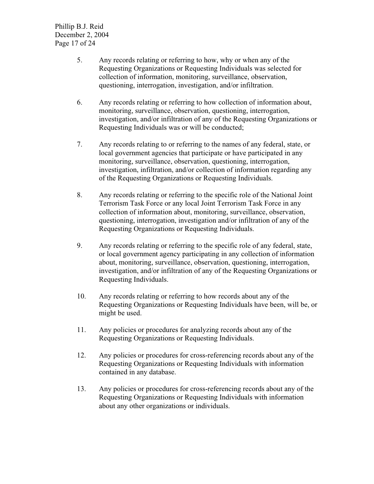Phillip B.J. Reid December 2, 2004 Page 17 of 24

- 5. Any records relating or referring to how, why or when any of the Requesting Organizations or Requesting Individuals was selected for collection of information, monitoring, surveillance, observation, questioning, interrogation, investigation, and/or infiltration.
- 6. Any records relating or referring to how collection of information about, monitoring, surveillance, observation, questioning, interrogation, investigation, and/or infiltration of any of the Requesting Organizations or Requesting Individuals was or will be conducted;
- 7. Any records relating to or referring to the names of any federal, state, or local government agencies that participate or have participated in any monitoring, surveillance, observation, questioning, interrogation, investigation, infiltration, and/or collection of information regarding any of the Requesting Organizations or Requesting Individuals.
- 8. Any records relating or referring to the specific role of the National Joint Terrorism Task Force or any local Joint Terrorism Task Force in any collection of information about, monitoring, surveillance, observation, questioning, interrogation, investigation and/or infiltration of any of the Requesting Organizations or Requesting Individuals.
- 9. Any records relating or referring to the specific role of any federal, state, or local government agency participating in any collection of information about, monitoring, surveillance, observation, questioning, interrogation, investigation, and/or infiltration of any of the Requesting Organizations or Requesting Individuals.
- 10. Any records relating or referring to how records about any of the Requesting Organizations or Requesting Individuals have been, will be, or might be used.
- 11. Any policies or procedures for analyzing records about any of the Requesting Organizations or Requesting Individuals.
- 12. Any policies or procedures for cross-referencing records about any of the Requesting Organizations or Requesting Individuals with information contained in any database.
- 13. Any policies or procedures for cross-referencing records about any of the Requesting Organizations or Requesting Individuals with information about any other organizations or individuals.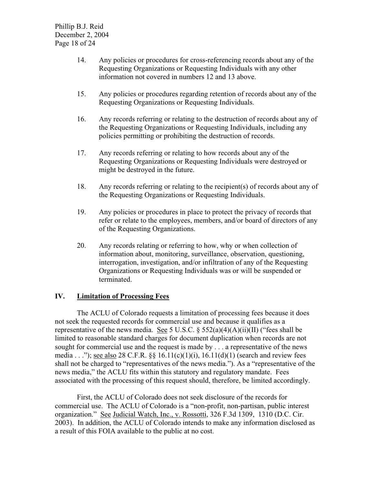Phillip B.J. Reid December 2, 2004 Page 18 of 24

- 14. Any policies or procedures for cross-referencing records about any of the Requesting Organizations or Requesting Individuals with any other information not covered in numbers 12 and 13 above.
- 15. Any policies or procedures regarding retention of records about any of the Requesting Organizations or Requesting Individuals.
- 16. Any records referring or relating to the destruction of records about any of the Requesting Organizations or Requesting Individuals, including any policies permitting or prohibiting the destruction of records.
- 17. Any records referring or relating to how records about any of the Requesting Organizations or Requesting Individuals were destroyed or might be destroyed in the future.
- 18. Any records referring or relating to the recipient(s) of records about any of the Requesting Organizations or Requesting Individuals.
- 19. Any policies or procedures in place to protect the privacy of records that refer or relate to the employees, members, and/or board of directors of any of the Requesting Organizations.
- 20. Any records relating or referring to how, why or when collection of information about, monitoring, surveillance, observation, questioning, interrogation, investigation, and/or infiltration of any of the Requesting Organizations or Requesting Individuals was or will be suspended or terminated.

#### **IV. Limitation of Processing Fees**

The ACLU of Colorado requests a limitation of processing fees because it does not seek the requested records for commercial use and because it qualifies as a representative of the news media. See 5 U.S.C.  $\S 552(a)(4)(A)(ii)(II)$  ("fees shall be limited to reasonable standard charges for document duplication when records are not sought for commercial use and the request is made by . . . a representative of the news media . . ."); see also 28 C.F.R.  $\S$   $\S$  16.11(c)(1)(i), 16.11(d)(1) (search and review fees shall not be charged to "representatives of the news media."). As a "representative of the news media," the ACLU fits within this statutory and regulatory mandate. Fees associated with the processing of this request should, therefore, be limited accordingly.

First, the ACLU of Colorado does not seek disclosure of the records for commercial use. The ACLU of Colorado is a "non-profit, non-partisan, public interest organization." See Judicial Watch, Inc., v. Rossotti, 326 F.3d 1309, 1310 (D.C. Cir. 2003). In addition, the ACLU of Colorado intends to make any information disclosed as a result of this FOIA available to the public at no cost.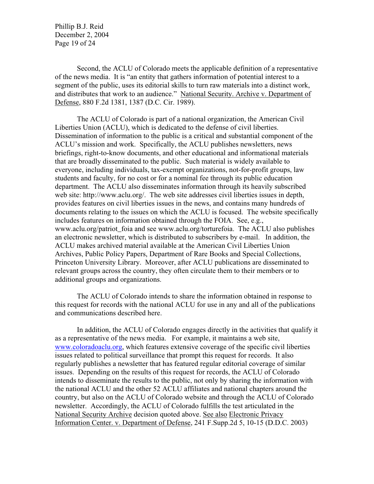Phillip B.J. Reid December 2, 2004 Page 19 of 24

Second, the ACLU of Colorado meets the applicable definition of a representative of the news media. It is "an entity that gathers information of potential interest to a segment of the public, uses its editorial skills to turn raw materials into a distinct work, and distributes that work to an audience." National Security. Archive v. Department of Defense, 880 F.2d 1381, 1387 (D.C. Cir. 1989).

The ACLU of Colorado is part of a national organization, the American Civil Liberties Union (ACLU), which is dedicated to the defense of civil liberties. Dissemination of information to the public is a critical and substantial component of the ACLU's mission and work. Specifically, the ACLU publishes newsletters, news briefings, right-to-know documents, and other educational and informational materials that are broadly disseminated to the public. Such material is widely available to everyone, including individuals, tax-exempt organizations, not-for-profit groups, law students and faculty, for no cost or for a nominal fee through its public education department. The ACLU also disseminates information through its heavily subscribed web site: http://www.aclu.org/. The web site addresses civil liberties issues in depth, provides features on civil liberties issues in the news, and contains many hundreds of documents relating to the issues on which the ACLU is focused. The website specifically includes features on information obtained through the FOIA. See, e.g., www.aclu.org/patriot foia and see www.aclu.org/torturefoia. The ACLU also publishes an electronic newsletter, which is distributed to subscribers by e-mail. In addition, the ACLU makes archived material available at the American Civil Liberties Union Archives, Public Policy Papers, Department of Rare Books and Special Collections, Princeton University Library. Moreover, after ACLU publications are disseminated to relevant groups across the country, they often circulate them to their members or to additional groups and organizations.

The ACLU of Colorado intends to share the information obtained in response to this request for records with the national ACLU for use in any and all of the publications and communications described here.

In addition, the ACLU of Colorado engages directly in the activities that qualify it as a representative of the news media. For example, it maintains a web site, www.coloradoaclu.org, which features extensive coverage of the specific civil liberties issues related to political surveillance that prompt this request for records. It also regularly publishes a newsletter that has featured regular editorial coverage of similar issues. Depending on the results of this request for records, the ACLU of Colorado intends to disseminate the results to the public, not only by sharing the information with the national ACLU and the other 52 ACLU affiliates and national chapters around the country, but also on the ACLU of Colorado website and through the ACLU of Colorado newsletter. Accordingly, the ACLU of Colorado fulfills the test articulated in the National Security Archive decision quoted above. See also Electronic Privacy Information Center. v. Department of Defense, 241 F.Supp.2d 5, 10-15 (D.D.C. 2003)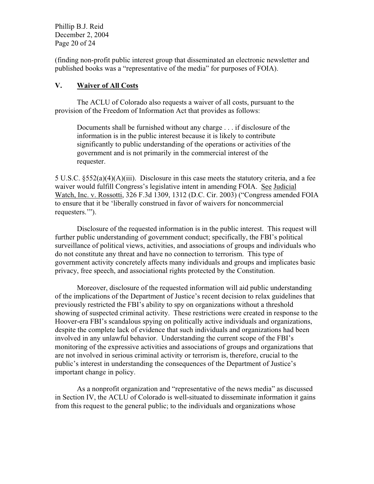Phillip B.J. Reid December 2, 2004 Page 20 of 24

(finding non-profit public interest group that disseminated an electronic newsletter and published books was a "representative of the media" for purposes of FOIA).

## **V. Waiver of All Costs**

The ACLU of Colorado also requests a waiver of all costs, pursuant to the provision of the Freedom of Information Act that provides as follows:

Documents shall be furnished without any charge . . . if disclosure of the information is in the public interest because it is likely to contribute significantly to public understanding of the operations or activities of the government and is not primarily in the commercial interest of the requester.

5 U.S.C. §552(a)(4)(A)(iii). Disclosure in this case meets the statutory criteria, and a fee waiver would fulfill Congress's legislative intent in amending FOIA. See Judicial Watch, Inc. v. Rossotti, 326 F.3d 1309, 1312 (D.C. Cir. 2003) ("Congress amended FOIA to ensure that it be 'liberally construed in favor of waivers for noncommercial requesters.'").

Disclosure of the requested information is in the public interest. This request will further public understanding of government conduct; specifically, the FBI's political surveillance of political views, activities, and associations of groups and individuals who do not constitute any threat and have no connection to terrorism. This type of government activity concretely affects many individuals and groups and implicates basic privacy, free speech, and associational rights protected by the Constitution.

Moreover, disclosure of the requested information will aid public understanding of the implications of the Department of Justice's recent decision to relax guidelines that previously restricted the FBI's ability to spy on organizations without a threshold showing of suspected criminal activity. These restrictions were created in response to the Hoover-era FBI's scandalous spying on politically active individuals and organizations, despite the complete lack of evidence that such individuals and organizations had been involved in any unlawful behavior. Understanding the current scope of the FBI's monitoring of the expressive activities and associations of groups and organizations that are not involved in serious criminal activity or terrorism is, therefore, crucial to the public's interest in understanding the consequences of the Department of Justice's important change in policy.

As a nonprofit organization and "representative of the news media" as discussed in Section IV, the ACLU of Colorado is well-situated to disseminate information it gains from this request to the general public; to the individuals and organizations whose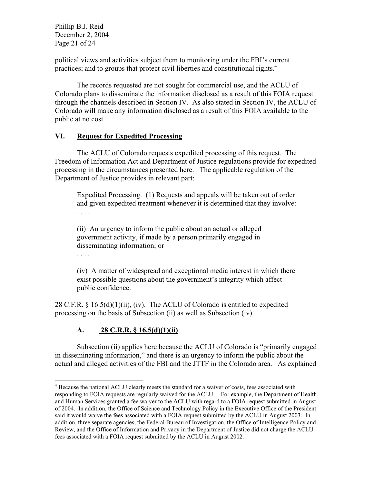Phillip B.J. Reid December 2, 2004 Page 21 of 24

political views and activities subject them to monitoring under the FBI's current practices; and to groups that protect civil liberties and constitutional rights.<sup>4</sup>

The records requested are not sought for commercial use, and the ACLU of Colorado plans to disseminate the information disclosed as a result of this FOIA request through the channels described in Section IV. As also stated in Section IV, the ACLU of Colorado will make any information disclosed as a result of this FOIA available to the public at no cost.

### **VI. Request for Expedited Processing**

The ACLU of Colorado requests expedited processing of this request. The Freedom of Information Act and Department of Justice regulations provide for expedited processing in the circumstances presented here. The applicable regulation of the Department of Justice provides in relevant part:

Expedited Processing. (1) Requests and appeals will be taken out of order and given expedited treatment whenever it is determined that they involve: . . . .

(ii) An urgency to inform the public about an actual or alleged government activity, if made by a person primarily engaged in disseminating information; or

. . . .

(iv) A matter of widespread and exceptional media interest in which there exist possible questions about the government's integrity which affect public confidence.

28 C.F.R.  $\S$  16.5(d)(1)(ii), (iv). The ACLU of Colorado is entitled to expedited processing on the basis of Subsection (ii) as well as Subsection (iv).

# **A. 28 C.R.R. § 16.5(d)(1)(ii)**

Subsection (ii) applies here because the ACLU of Colorado is "primarily engaged in disseminating information," and there is an urgency to inform the public about the actual and alleged activities of the FBI and the JTTF in the Colorado area. As explained

<sup>&</sup>lt;sup>4</sup> Because the national ACLU clearly meets the standard for a waiver of costs, fees associated with responding to FOIA requests are regularly waived for the ACLU. For example, the Department of Health and Human Services granted a fee waiver to the ACLU with regard to a FOIA request submitted in August of 2004. In addition, the Office of Science and Technology Policy in the Executive Office of the President said it would waive the fees associated with a FOIA request submitted by the ACLU in August 2003. In addition, three separate agencies, the Federal Bureau of Investigation, the Office of Intelligence Policy and Review, and the Office of Information and Privacy in the Department of Justice did not charge the ACLU fees associated with a FOIA request submitted by the ACLU in August 2002.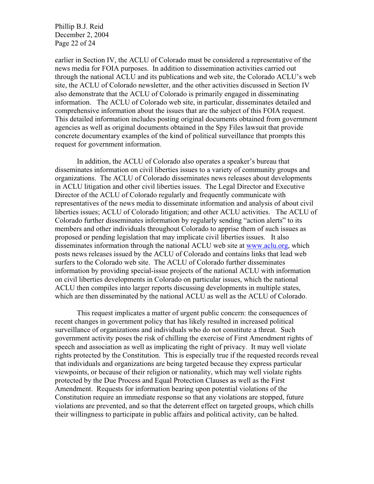Phillip B.J. Reid December 2, 2004 Page 22 of 24

earlier in Section IV, the ACLU of Colorado must be considered a representative of the news media for FOIA purposes. In addition to dissemination activities carried out through the national ACLU and its publications and web site, the Colorado ACLU's web site, the ACLU of Colorado newsletter, and the other activities discussed in Section IV also demonstrate that the ACLU of Colorado is primarily engaged in disseminating information. The ACLU of Colorado web site, in particular, disseminates detailed and comprehensive information about the issues that are the subject of this FOIA request. This detailed information includes posting original documents obtained from government agencies as well as original documents obtained in the Spy Files lawsuit that provide concrete documentary examples of the kind of political surveillance that prompts this request for government information.

In addition, the ACLU of Colorado also operates a speaker's bureau that disseminates information on civil liberties issues to a variety of community groups and organizations. The ACLU of Colorado disseminates news releases about developments in ACLU litigation and other civil liberties issues. The Legal Director and Executive Director of the ACLU of Colorado regularly and frequently communicate with representatives of the news media to disseminate information and analysis of about civil liberties issues; ACLU of Colorado litigation; and other ACLU activities. The ACLU of Colorado further disseminates information by regularly sending "action alerts" to its members and other individuals throughout Colorado to apprise them of such issues as proposed or pending legislation that may implicate civil liberties issues. It also disseminates information through the national ACLU web site at www.aclu.org, which posts news releases issued by the ACLU of Colorado and contains links that lead web surfers to the Colorado web site. The ACLU of Colorado further disseminates information by providing special-issue projects of the national ACLU with information on civil liberties developments in Colorado on particular issues, which the national ACLU then compiles into larger reports discussing developments in multiple states, which are then disseminated by the national ACLU as well as the ACLU of Colorado.

This request implicates a matter of urgent public concern: the consequences of recent changes in government policy that has likely resulted in increased political surveillance of organizations and individuals who do not constitute a threat. Such government activity poses the risk of chilling the exercise of First Amendment rights of speech and association as well as implicating the right of privacy. It may well violate rights protected by the Constitution. This is especially true if the requested records reveal that individuals and organizations are being targeted because they express particular viewpoints, or because of their religion or nationality, which may well violate rights protected by the Due Process and Equal Protection Clauses as well as the First Amendment. Requests for information bearing upon potential violations of the Constitution require an immediate response so that any violations are stopped, future violations are prevented, and so that the deterrent effect on targeted groups, which chills their willingness to participate in public affairs and political activity, can be halted.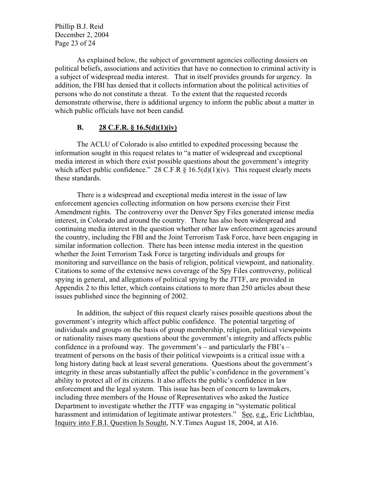Phillip B.J. Reid December 2, 2004 Page 23 of 24

As explained below, the subject of government agencies collecting dossiers on political beliefs, associations and activities that have no connection to criminal activity is a subject of widespread media interest. That in itself provides grounds for urgency. In addition, the FBI has denied that it collects information about the political activities of persons who do not constitute a threat. To the extent that the requested records demonstrate otherwise, there is additional urgency to inform the public about a matter in which public officials have not been candid.

#### **B. 28 C.F.R. § 16.5(d)(1)(iv)**

The ACLU of Colorado is also entitled to expedited processing because the information sought in this request relates to "a matter of widespread and exceptional media interest in which there exist possible questions about the government's integrity which affect public confidence." 28 C.F.R  $\S$  16.5(d)(1)(iv). This request clearly meets these standards.

There is a widespread and exceptional media interest in the issue of law enforcement agencies collecting information on how persons exercise their First Amendment rights. The controversy over the Denver Spy Files generated intense media interest, in Colorado and around the country. There has also been widespread and continuing media interest in the question whether other law enforcement agencies around the country, including the FBI and the Joint Terrorism Task Force, have been engaging in similar information collection. There has been intense media interest in the question whether the Joint Terrorism Task Force is targeting individuals and groups for monitoring and surveillance on the basis of religion, political viewpoint, and nationality. Citations to some of the extensive news coverage of the Spy Files controversy, political spying in general, and allegations of political spying by the JTTF, are provided in Appendix 2 to this letter, which contains citations to more than 250 articles about these issues published since the beginning of 2002.

In addition, the subject of this request clearly raises possible questions about the government's integrity which affect public confidence. The potential targeting of individuals and groups on the basis of group membership, religion, political viewpoints or nationality raises many questions about the government's integrity and affects public confidence in a profound way. The government's – and particularly the FBI's – treatment of persons on the basis of their political viewpoints is a critical issue with a long history dating back at least several generations. Questions about the government's integrity in these areas substantially affect the public's confidence in the government's ability to protect all of its citizens. It also affects the public's confidence in law enforcement and the legal system. This issue has been of concern to lawmakers, including three members of the House of Representatives who asked the Justice Department to investigate whether the JTTF was engaging in "systematic political harassment and intimidation of legitimate antiwar protesters." See, e.g., Eric Lichtblau, Inquiry into F.B.I. Question Is Sought, N.Y.Times August 18, 2004, at A16.